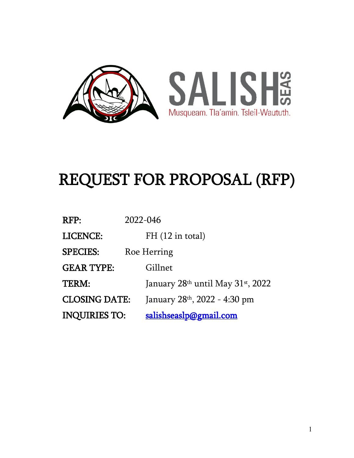

# REQUEST FOR PROPOSAL (RFP)

| RFP:                 | 2022-046                                  |
|----------------------|-------------------------------------------|
| LICENCE:             | $FH(12 \text{ in total})$                 |
| <b>SPECIES:</b>      | Roe Herring                               |
| <b>GEAR TYPE:</b>    | Gillnet                                   |
| TERM:                | January $28th$ until May $31st$ , 2022    |
| <b>CLOSING DATE:</b> | January 28 <sup>th</sup> , 2022 - 4:30 pm |
| <b>INQUIRIES TO:</b> | <u>salishseaslp@gmail.com</u>             |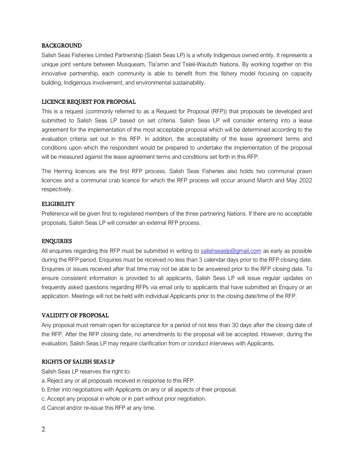#### BACKGROUND

Salish Seas Fisheries Limited Partnership (Salish Seas LP) is a wholly Indigenous owned entity. It represents a unique joint venture between Musqueam, Tla'amin and Tsleil-Waututh Nations. By working together on this innovative partnership, each community is able to benefit from this fishery model focusing on capacity building, Indigenous involvement, and environmental sustainability.

#### LICENCE REQUEST FOR PROPOSAL

This is a request (commonly referred to as a Request for Proposal (RFP)) that proposals be developed and submitted to Salish Seas LP based on set criteria. Salish Seas LP will consider entering into a lease agreement for the implementation of the most acceptable proposal which will be determined according to the evaluation criteria set out in this RFP. In addition, the acceptability of the lease agreement terms and conditions upon which the respondent would be prepared to undertake the implementation of the proposal will be measured against the lease agreement terms and conditions set forth in this RFP.

The Herring licences are the first RFP process. Salish Seas Fisheries also holds two communal prawn licences and a communal crab licence for which the RFP process will occur around March and May 2022 respectively.

#### **ELIGIBILITY**

Preference will be given first to registered members of the three partnering Nations. If there are no acceptable proposals, Salish Seas LP will consider an external RFP process.

#### ENQUIRIES

All enquiries regarding this RFP must be submitted in writing to [salishseaslp@gmail.com](mailto:salishseaslp@gmail.com) as early as possible during the RFP period. Enquiries must be received no less than 3 calendar days prior to the RFP closing date. Enquiries or issues received after that time may not be able to be answered prior to the RFP closing date. To ensure consistent information is provided to all applicants, Salish Seas LP will issue regular updates on frequently asked questions regarding RFPs via email only to applicants that have submitted an Enquiry or an application. Meetings will not be held with individual Applicants prior to the closing date/time of the RFP.

#### VALIDITY OF PROPOSAL

Any proposal must remain open for acceptance for a period of not less than 30 days after the closing date of the RFP. After the RFP closing date, no amendments to the proposal will be accepted. However, during the evaluation, Salish Seas LP may require clarification from or conduct interviews with Applicants.

#### RIGHTS OF SALISH SEAS LP

Salish Seas LP reserves the right to:

- a.Reject any or all proposals received in response to this RFP.
- b.Enter into negotiations with Applicants on any or all aspects of their proposal.
- c.Accept any proposal in whole or in part without prior negotiation.
- d.Cancel and/or re-issue this RFP at any time.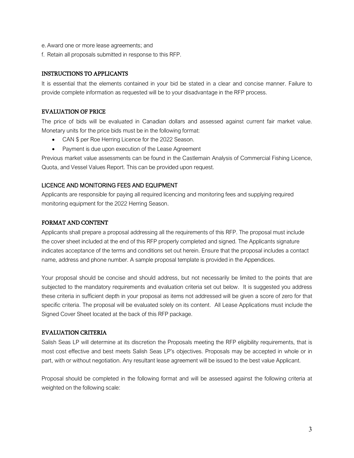- e.Award one or more lease agreements; and
- f. Retain all proposals submitted in response to this RFP.

#### INSTRUCTIONS TO APPLICANTS

It is essential that the elements contained in your bid be stated in a clear and concise manner. Failure to provide complete information as requested will be to your disadvantage in the RFP process.

## EVALUATION OF PRICE

The price of bids will be evaluated in Canadian dollars and assessed against current fair market value. Monetary units for the price bids must be in the following format:

- CAN \$ per Roe Herring Licence for the 2022 Season.
- Payment is due upon execution of the Lease Agreement

Previous market value assessments can be found in the Castlemain Analysis of Commercial Fishing Licence, Quota, and Vessel Values Report. This can be provided upon request.

## LICENCE AND MONITORING FEES AND EQUIPMENT

Applicants are responsible for paying all required licencing and monitoring fees and supplying required monitoring equipment for the 2022 Herring Season.

## FORMAT AND CONTENT

Applicants shall prepare a proposal addressing all the requirements of this RFP. The proposal must include the cover sheet included at the end of this RFP properly completed and signed. The Applicants signature indicates acceptance of the terms and conditions set out herein. Ensure that the proposal includes a contact name, address and phone number. A sample proposal template is provided in the Appendices.

Your proposal should be concise and should address, but not necessarily be limited to the points that are subjected to the mandatory requirements and evaluation criteria set out below. It is suggested you address these criteria in sufficient depth in your proposal as items not addressed will be given a score of zero for that specific criteria. The proposal will be evaluated solely on its content. All Lease Applications must include the Signed Cover Sheet located at the back of this RFP package.

#### EVALUATION CRITERIA

Salish Seas LP will determine at its discretion the Proposals meeting the RFP eligibility requirements, that is most cost effective and best meets Salish Seas LP's objectives. Proposals may be accepted in whole or in part, with or without negotiation. Any resultant lease agreement will be issued to the best value Applicant.

Proposal should be completed in the following format and will be assessed against the following criteria at weighted on the following scale: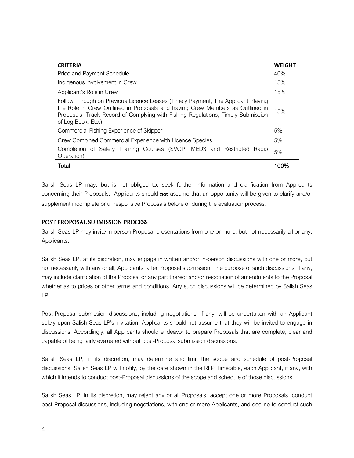| <b>CRITERIA</b>                                                                                                                                                                                                                                                             |      |
|-----------------------------------------------------------------------------------------------------------------------------------------------------------------------------------------------------------------------------------------------------------------------------|------|
| Price and Payment Schedule                                                                                                                                                                                                                                                  |      |
| Indigenous Involvement in Crew                                                                                                                                                                                                                                              |      |
| Applicant's Role in Crew                                                                                                                                                                                                                                                    |      |
| Follow Through on Previous Licence Leases (Timely Payment, The Applicant Playing<br>the Role in Crew Outlined in Proposals and having Crew Members as Outlined in<br>Proposals, Track Record of Complying with Fishing Regulations, Timely Submission<br>of Log Book, Etc.) |      |
| Commercial Fishing Experience of Skipper                                                                                                                                                                                                                                    |      |
| Crew Combined Commercial Experience with Licence Species                                                                                                                                                                                                                    |      |
| Completion of Safety Training Courses (SVOP, MED3 and Restricted<br>Radio<br>Operation)                                                                                                                                                                                     | 5%   |
| Total                                                                                                                                                                                                                                                                       | 100% |

Salish Seas LP may, but is not obliged to, seek further information and clarification from Applicants concerning their Proposals. Applicants should not assume that an opportunity will be given to clarify and/or supplement incomplete or unresponsive Proposals before or during the evaluation process.

#### POST PROPOSAL SUBMISSION PROCESS

Salish Seas LP may invite in person Proposal presentations from one or more, but not necessarily all or any, Applicants.

Salish Seas LP, at its discretion, may engage in written and/or in-person discussions with one or more, but not necessarily with any or all, Applicants, after Proposal submission. The purpose of such discussions, if any, may include clarification of the Proposal or any part thereof and/or negotiation of amendments to the Proposal whether as to prices or other terms and conditions. Any such discussions will be determined by Salish Seas LP.

Post-Proposal submission discussions, including negotiations, if any, will be undertaken with an Applicant solely upon Salish Seas LP's invitation. Applicants should not assume that they will be invited to engage in discussions. Accordingly, all Applicants should endeavor to prepare Proposals that are complete, clear and capable of being fairly evaluated without post-Proposal submission discussions.

Salish Seas LP, in its discretion, may determine and limit the scope and schedule of post-Proposal discussions. Salish Seas LP will notify, by the date shown in the RFP Timetable, each Applicant, if any, with which it intends to conduct post-Proposal discussions of the scope and schedule of those discussions.

Salish Seas LP, in its discretion, may reject any or all Proposals, accept one or more Proposals, conduct post-Proposal discussions, including negotiations, with one or more Applicants, and decline to conduct such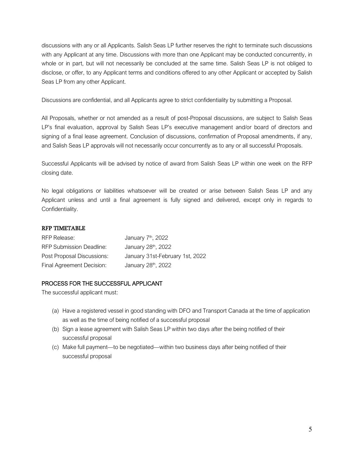discussions with any or all Applicants. Salish Seas LP further reserves the right to terminate such discussions with any Applicant at any time. Discussions with more than one Applicant may be conducted concurrently, in whole or in part, but will not necessarily be concluded at the same time. Salish Seas LP is not obliged to disclose, or offer, to any Applicant terms and conditions offered to any other Applicant or accepted by Salish Seas LP from any other Applicant.

Discussions are confidential, and all Applicants agree to strict confidentiality by submitting a Proposal.

All Proposals, whether or not amended as a result of post-Proposal discussions, are subject to Salish Seas LP's final evaluation, approval by Salish Seas LP's executive management and/or board of directors and signing of a final lease agreement. Conclusion of discussions, confirmation of Proposal amendments, if any, and Salish Seas LP approvals will not necessarily occur concurrently as to any or all successful Proposals.

Successful Applicants will be advised by notice of award from Salish Seas LP within one week on the RFP closing date.

No legal obligations or liabilities whatsoever will be created or arise between Salish Seas LP and any Applicant unless and until a final agreement is fully signed and delivered, except only in regards to Confidentiality.

## RFP TIMETABLE

| RFP Release:                    | January 7 <sup>th</sup> , 2022  |
|---------------------------------|---------------------------------|
| <b>RFP Submission Deadline:</b> | January 28 <sup>th</sup> , 2022 |
| Post Proposal Discussions:      | January 31st-February 1st, 2022 |
| Final Agreement Decision:       | January 28 <sup>th</sup> , 2022 |

## PROCESS FOR THE SUCCESSFUL APPLICANT

The successful applicant must:

- (a) Have a registered vessel in good standing with DFO and Transport Canada at the time of application as well as the time of being notified of a successful proposal
- (b) Sign a lease agreement with Salish Seas LP within two days after the being notified of their successful proposal
- (c) Make full payment—to be negotiated—within two business days after being notified of their successful proposal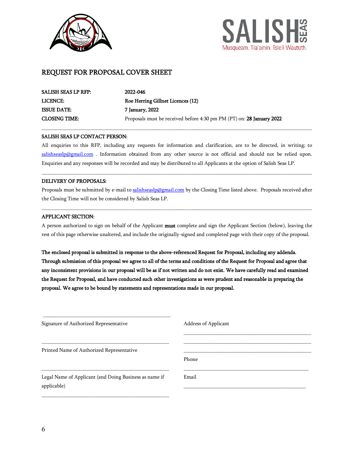



## REQUEST FOR PROPOSAL COVER SHEET

\_\_\_\_\_\_\_\_\_\_\_\_\_\_\_\_\_\_\_\_\_\_\_\_\_\_\_\_\_\_\_\_\_\_\_\_\_\_\_\_\_\_\_\_\_\_\_\_\_

| SALISH SEAS LP RFP:  | 2022-046                                                              |
|----------------------|-----------------------------------------------------------------------|
| <b>LICENCE:</b>      | Roe Herring Gillnet Licences (12)                                     |
| <b>ISSUE DATE:</b>   | 7 January, 2022                                                       |
| <b>CLOSING TIME:</b> | Proposals must be received before 4:30 pm PM (PT) on: 28 January 2022 |

#### SALISH SEAS LP CONTACT PERSON:

All enquiries to this RFP, including any requests for information and clarification, are to be directed, in writing; to [salishseaslp@gmail.com](mailto:salishseaslp@gmail.com) . Information obtained from any other source is not official and should not be relied upon. Enquiries and any responses will be recorded and may be distributed to all Applicants at the option of Salish Seas LP.

\_\_\_\_\_\_\_\_\_\_\_\_\_\_\_\_\_\_\_\_\_\_\_\_\_\_\_\_\_\_\_\_\_\_\_\_\_\_\_\_\_\_\_\_\_\_\_\_\_\_\_\_\_\_\_\_\_\_\_\_\_\_\_\_\_\_\_\_\_\_\_\_\_\_\_\_\_\_\_\_\_\_\_\_\_\_\_\_\_\_\_\_\_\_\_\_\_\_\_\_\_\_\_\_

\_\_\_\_\_\_\_\_\_\_\_\_\_\_\_\_\_\_\_\_\_\_\_\_\_\_\_\_\_\_\_\_\_\_\_\_\_\_\_\_\_\_\_\_\_\_\_\_\_\_\_\_\_\_\_\_\_\_\_\_\_\_\_\_\_\_\_\_\_\_\_\_\_\_\_\_\_\_\_\_\_\_\_\_\_\_\_\_\_\_\_\_\_\_\_\_\_\_\_\_\_\_\_\_

#### DELIVERY OF PROPOSALS:

Proposals must be submitted by e-mail t[o salishseaslp@gmail.com](mailto:salishseaslp@gmail.com) by the Closing Time listed above. Proposals received after the Closing Time will not be considered by Salish Seas LP.

 $\_$  ,  $\_$  ,  $\_$  ,  $\_$  ,  $\_$  ,  $\_$  ,  $\_$  ,  $\_$  ,  $\_$  ,  $\_$  ,  $\_$  ,  $\_$  ,  $\_$  ,  $\_$  ,  $\_$  ,  $\_$  ,  $\_$  ,  $\_$  ,  $\_$  ,  $\_$  ,  $\_$  ,  $\_$  ,  $\_$  ,  $\_$  ,  $\_$  ,  $\_$  ,  $\_$  ,  $\_$  ,  $\_$  ,  $\_$  ,  $\_$  ,  $\_$  ,  $\_$  ,  $\_$  ,  $\_$  ,  $\_$  ,  $\_$  ,

#### APPLICANT SECTION:

A person authorized to sign on behalf of the Applicant must complete and sign the Applicant Section (below), leaving the rest of this page otherwise unaltered, and include the originally-signed and completed page with their copy of the proposal.

The enclosed proposal is submitted in response to the above-referenced Request for Proposal, including any addenda. Through submission of this proposal we agree to all of the terms and conditions of the Request for Proposal and agree that any inconsistent provisions in our proposal will be as if not written and do not exist. We have carefully read and examined the Request for Proposal, and have conducted such other investigations as were prudent and reasonable in preparing the proposal. We agree to be bound by statements and representations made in our proposal.

| Signature of Authorized Representative                 | Address of Applicant |
|--------------------------------------------------------|----------------------|
|                                                        |                      |
| Printed Name of Authorized Representative              |                      |
|                                                        | Phone                |
| Legal Name of Applicant (and Doing Business as name if | Email                |
| applicable)                                            |                      |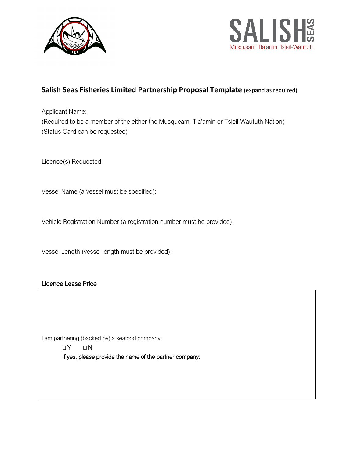



# **Salish Seas Fisheries Limited Partnership Proposal Template** (expand as required)

Applicant Name: (Required to be a member of the either the Musqueam, Tla'amin or Tsleil-Waututh Nation) (Status Card can be requested)

Licence(s) Requested:

Vessel Name (a vessel must be specified):

Vehicle Registration Number (a registration number must be provided):

Vessel Length (vessel length must be provided):

# Licence Lease Price

I am partnering (backed by) a seafood company:

 $\Box Y$   $\Box N$ If yes, please provide the name of the partner company: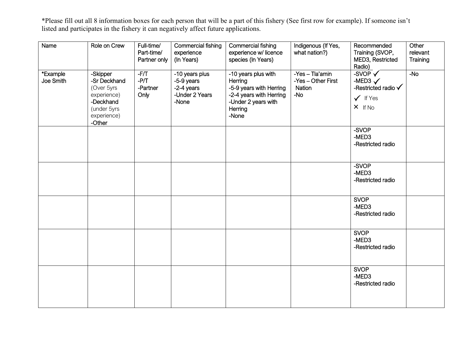\*Please fill out all 8 information boxes for each person that will be a part of this fishery (See first row for example). If someone isn't listed and participates in the fishery it can negatively affect future applications.

| Name                  | Role on Crew                                                                                                | Full-time/<br>Part-time/<br>Partner only | Commercial fishing<br>experience<br>(In Years)                        | Commercial fishing<br>experience w/ licence<br>species (In Years)                                                               | Indigenous (If Yes,<br>what nation?)                            | Recommended<br>Training (SVOP,<br>MED3, Restricted<br>Radio)                             | Other<br>relevant<br>Training |
|-----------------------|-------------------------------------------------------------------------------------------------------------|------------------------------------------|-----------------------------------------------------------------------|---------------------------------------------------------------------------------------------------------------------------------|-----------------------------------------------------------------|------------------------------------------------------------------------------------------|-------------------------------|
| *Example<br>Joe Smith | -Skipper<br>-Sr Deckhand<br>(Over 5yrs)<br>experience)<br>-Deckhand<br>(under 5yrs<br>experience)<br>-Other | $-F/T$<br>$-PT$<br>-Partner<br>Only      | -10 years plus<br>-5-9 years<br>-2-4 years<br>-Under 2 Years<br>-None | -10 years plus with<br>Herring<br>-5-9 years with Herring<br>-2-4 years with Herring<br>-Under 2 years with<br>Herring<br>-None | -Yes - Tla'amin<br>-Yes - Other First<br><b>Nation</b><br>$-NO$ | $-SVOP$<br>-MED3 $\checkmark$<br>-Restricted radio V<br>$\checkmark$ If Yes<br>$X$ If No | $-No$                         |
|                       |                                                                                                             |                                          |                                                                       |                                                                                                                                 |                                                                 | -SVOP<br>-MED3<br>-Restricted radio                                                      |                               |
|                       |                                                                                                             |                                          |                                                                       |                                                                                                                                 |                                                                 | -SVOP<br>-MED3<br>-Restricted radio                                                      |                               |
|                       |                                                                                                             |                                          |                                                                       |                                                                                                                                 |                                                                 | <b>SVOP</b><br>-MED3<br>-Restricted radio                                                |                               |
|                       |                                                                                                             |                                          |                                                                       |                                                                                                                                 |                                                                 | <b>SVOP</b><br>-MED3<br>-Restricted radio                                                |                               |
|                       |                                                                                                             |                                          |                                                                       |                                                                                                                                 |                                                                 | <b>SVOP</b><br>-MED3<br>-Restricted radio                                                |                               |